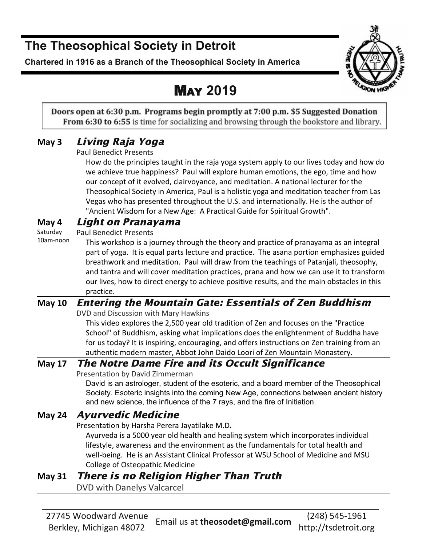## **The Theosophical Society in Detroit**

**Chartered in 1916 as a Branch of the Theosophical Society in America**



## MAY **2019**

Doors open at 6:30 p.m. Programs begin promptly at 7:00 p.m. \$5 Suggested Donation **From 6:30 to 6:55** is time for socializing and browsing through the bookstore and library.

## **May 3** Living Raja Yoga

Paul Benedict Presents

 How do the principles taught in the raja yoga system apply to our lives today and how do we achieve true happiness? Paul will explore human emotions, the ego, time and how our concept of it evolved, clairvoyance, and meditation. A national lecturer for the Theosophical Society in America, Paul is a holistic yoga and meditation teacher from Las Vegas who has presented throughout the U.S. and internationally. He is the author of "Ancient Wisdom for a New Age: A Practical Guide for Spiritual Growth".

#### **May 4** Light on Pranayama

Saturday Paul Benedict Presents

10am-noon This workshop is a journey through the theory and practice of pranayama as an integral part of yoga. It is equal parts lecture and practice. The asana portion emphasizes guided breathwork and meditation. Paul will draw from the teachings of Patanjali, theosophy, and tantra and will cover meditation practices, prana and how we can use it to transform our lives, how to direct energy to achieve positive results, and the main obstacles in this practice.

#### **May 10** Entering the Mountain Gate: Essentials of Zen Buddhism

DVD and Discussion with Mary Hawkins

 This video explores the 2,500 year old tradition of Zen and focuses on the "Practice School" of Buddhism, asking what implications does the enlightenment of Buddha have for us today? It is inspiring, encouraging, and offers instructions on Zen training from an authentic modern master, Abbot John Daido Loori of Zen Mountain Monastery.

#### **May 17** The Notre Dame Fire and its Occult Significance

Presentation by David Zimmerman

David is an astrologer, student of the esoteric, and a board member of the Theosophical Society. Esoteric insights into the coming New Age, connections between ancient history and new science, the influence of the 7 rays, and the fire of Initiation.

#### **May 24** Ayurvedic Medicine

Presentation by Harsha Perera Jayatilake M.D*.*

Ayurveda is a 5000 year old health and healing system which incorporates individual lifestyle, awareness and the environment as the fundamentals for total health and well-being. He is an Assistant Clinical Professor at WSU School of Medicine and MSU College of Osteopathic Medicine

## **May 31** There is no Religion Higher Than Truth

DVD with Danelys Valcarcel